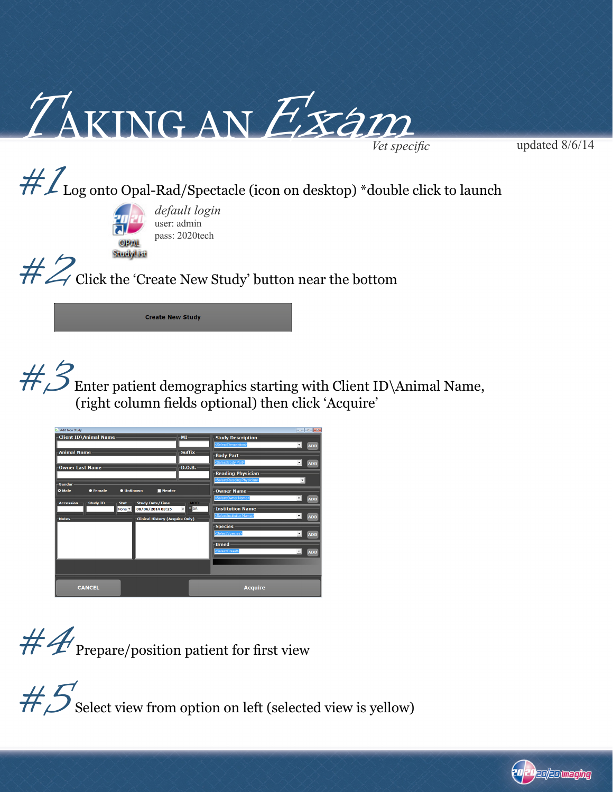

updated 8/6/14

## $\# \mathcal{L}_{\log}$  onto Opal-Rad/Spectacle (icon on desktop) \*double click to launch



*default login* user: admin pass: 2020tech

 $#Z$  Click the 'Create New Study' button near the bottom

**Create New Study** 

#3 Enter patient demographics starting with Client ID\Animal Name, (right column fields optional) then click 'Acquire'



 $#4$  Prepare/position patient for first view

 $\#S$  Select view from option on left (selected view is yellow)